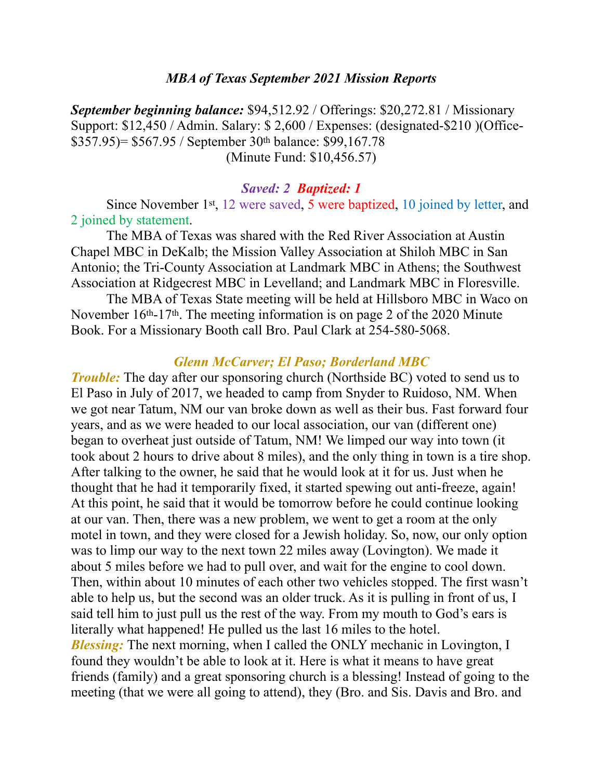#### *MBA of Texas September 2021 Mission Reports*

*September beginning balance:* \$94,512.92 / Offerings: \$20,272.81 / Missionary Support: \$12,450 / Admin. Salary: \$ 2,600 / Expenses: (designated-\$210 )(Office- \$357.95)= \$567.95 / September 30th balance: \$99,167.78 (Minute Fund: \$10,456.57)

#### *Saved: 2 Baptized: 1*

Since November 1st, 12 were saved, 5 were baptized, 10 joined by letter, and 2 joined by statement.

The MBA of Texas was shared with the Red River Association at Austin Chapel MBC in DeKalb; the Mission Valley Association at Shiloh MBC in San Antonio; the Tri-County Association at Landmark MBC in Athens; the Southwest Association at Ridgecrest MBC in Levelland; and Landmark MBC in Floresville.

The MBA of Texas State meeting will be held at Hillsboro MBC in Waco on November 16<sup>th</sup>-17<sup>th</sup>. The meeting information is on page 2 of the 2020 Minute Book. For a Missionary Booth call Bro. Paul Clark at 254-580-5068.

#### *Glenn McCarver; El Paso; Borderland MBC*

*Trouble:* The day after our sponsoring church (Northside BC) voted to send us to El Paso in July of 2017, we headed to camp from Snyder to Ruidoso, NM. When we got near Tatum, NM our van broke down as well as their bus. Fast forward four years, and as we were headed to our local association, our van (different one) began to overheat just outside of Tatum, NM! We limped our way into town (it took about 2 hours to drive about 8 miles), and the only thing in town is a tire shop. After talking to the owner, he said that he would look at it for us. Just when he thought that he had it temporarily fixed, it started spewing out anti-freeze, again! At this point, he said that it would be tomorrow before he could continue looking at our van. Then, there was a new problem, we went to get a room at the only motel in town, and they were closed for a Jewish holiday. So, now, our only option was to limp our way to the next town 22 miles away (Lovington). We made it about 5 miles before we had to pull over, and wait for the engine to cool down. Then, within about 10 minutes of each other two vehicles stopped. The first wasn't able to help us, but the second was an older truck. As it is pulling in front of us, I said tell him to just pull us the rest of the way. From my mouth to God's ears is literally what happened! He pulled us the last 16 miles to the hotel. *Blessing*: The next morning, when I called the ONLY mechanic in Lovington, I found they wouldn't be able to look at it. Here is what it means to have great friends (family) and a great sponsoring church is a blessing! Instead of going to the meeting (that we were all going to attend), they (Bro. and Sis. Davis and Bro. and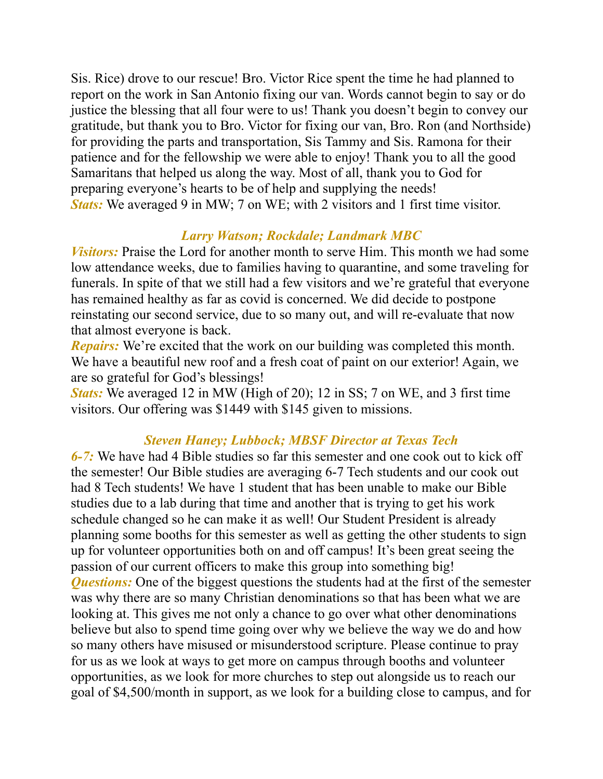Sis. Rice) drove to our rescue! Bro. Victor Rice spent the time he had planned to report on the work in San Antonio fixing our van. Words cannot begin to say or do justice the blessing that all four were to us! Thank you doesn't begin to convey our gratitude, but thank you to Bro. Victor for fixing our van, Bro. Ron (and Northside) for providing the parts and transportation, Sis Tammy and Sis. Ramona for their patience and for the fellowship we were able to enjoy! Thank you to all the good Samaritans that helped us along the way. Most of all, thank you to God for preparing everyone's hearts to be of help and supplying the needs! *Stats:* We averaged 9 in MW; 7 on WE; with 2 visitors and 1 first time visitor.

## *Larry Watson; Rockdale; Landmark MBC*

*Visitors:* Praise the Lord for another month to serve Him. This month we had some low attendance weeks, due to families having to quarantine, and some traveling for funerals. In spite of that we still had a few visitors and we're grateful that everyone has remained healthy as far as covid is concerned. We did decide to postpone reinstating our second service, due to so many out, and will re-evaluate that now that almost everyone is back.

*Repairs:* We're excited that the work on our building was completed this month. We have a beautiful new roof and a fresh coat of paint on our exterior! Again, we are so grateful for God's blessings!

*Stats:* We averaged 12 in MW (High of 20); 12 in SS; 7 on WE, and 3 first time visitors. Our offering was \$1449 with \$145 given to missions.

## *Steven Haney; Lubbock; MBSF Director at Texas Tech*

*6-7:* We have had 4 Bible studies so far this semester and one cook out to kick off the semester! Our Bible studies are averaging 6-7 Tech students and our cook out had 8 Tech students! We have 1 student that has been unable to make our Bible studies due to a lab during that time and another that is trying to get his work schedule changed so he can make it as well! Our Student President is already planning some booths for this semester as well as getting the other students to sign up for volunteer opportunities both on and off campus! It's been great seeing the passion of our current officers to make this group into something big! *Questions:* One of the biggest questions the students had at the first of the semester was why there are so many Christian denominations so that has been what we are looking at. This gives me not only a chance to go over what other denominations believe but also to spend time going over why we believe the way we do and how so many others have misused or misunderstood scripture. Please continue to pray for us as we look at ways to get more on campus through booths and volunteer opportunities, as we look for more churches to step out alongside us to reach our goal of \$4,500/month in support, as we look for a building close to campus, and for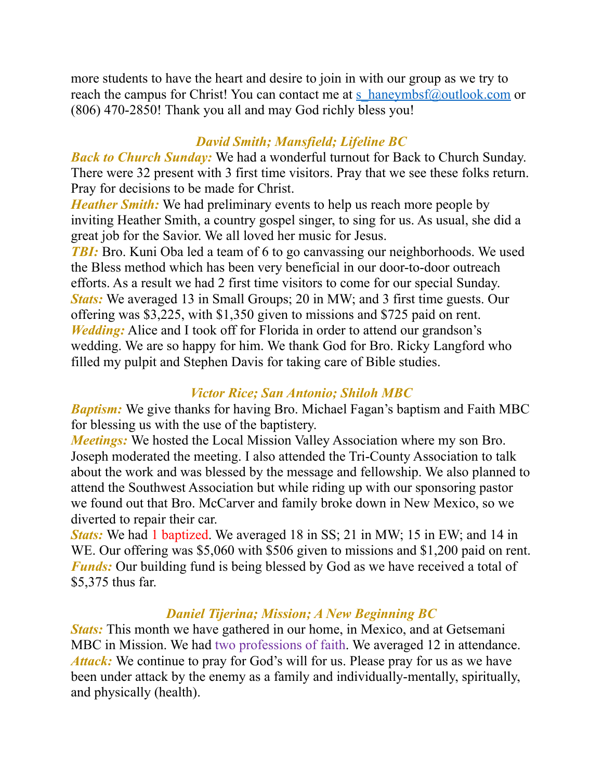more students to have the heart and desire to join in with our group as we try to reach the campus for Christ! You can contact me at [s\\_haneymbsf@outlook.com](mailto:s_haneymbsf@outlook.com) or (806) 470-2850! Thank you all and may God richly bless you!

# *David Smith; Mansfield; Lifeline BC*

*Back to Church Sunday:* We had a wonderful turnout for Back to Church Sunday. There were 32 present with 3 first time visitors. Pray that we see these folks return. Pray for decisions to be made for Christ.

*Heather Smith:* We had preliminary events to help us reach more people by inviting Heather Smith, a country gospel singer, to sing for us. As usual, she did a great job for the Savior. We all loved her music for Jesus.

*TBI:* Bro. Kuni Oba led a team of 6 to go canvassing our neighborhoods. We used the Bless method which has been very beneficial in our door-to-door outreach efforts. As a result we had 2 first time visitors to come for our special Sunday. *Stats:* We averaged 13 in Small Groups; 20 in MW; and 3 first time guests. Our offering was \$3,225, with \$1,350 given to missions and \$725 paid on rent. *Wedding:* Alice and I took off for Florida in order to attend our grandson's wedding. We are so happy for him. We thank God for Bro. Ricky Langford who filled my pulpit and Stephen Davis for taking care of Bible studies.

## *Victor Rice; San Antonio; Shiloh MBC*

*Baptism:* We give thanks for having Bro. Michael Fagan's baptism and Faith MBC for blessing us with the use of the baptistery.

*Meetings:* We hosted the Local Mission Valley Association where my son Bro. Joseph moderated the meeting. I also attended the Tri-County Association to talk about the work and was blessed by the message and fellowship. We also planned to attend the Southwest Association but while riding up with our sponsoring pastor we found out that Bro. McCarver and family broke down in New Mexico, so we diverted to repair their car.

*Stats:* We had 1 baptized. We averaged 18 in SS; 21 in MW; 15 in EW; and 14 in WE. Our offering was \$5,060 with \$506 given to missions and \$1,200 paid on rent. *Funds:* Our building fund is being blessed by God as we have received a total of \$5,375 thus far.

## *Daniel Tijerina; Mission; A New Beginning BC*

*Stats:* This month we have gathered in our home, in Mexico, and at Getsemani MBC in Mission. We had two professions of faith. We averaged 12 in attendance. Attack: We continue to pray for God's will for us. Please pray for us as we have been under attack by the enemy as a family and individually-mentally, spiritually, and physically (health).